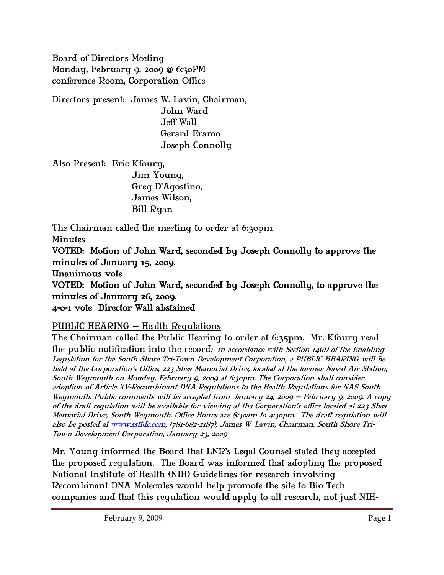Board of Directors Meeting Monday, February 9, 2009 @ 6:30PM conference Room, Corporation Office

Directors present: James W. Lavin, Chairman, John Ward Jeff Wall Gerard Eramo Joseph Connolly

Also Present: Eric Kfoury, Jim Young, Greg D'Agostino, James Wilson, Bill Ryan

The Chairman called the meeting to order at 6:30pm Minutes

VOTED: Motion of John Ward, seconded by Joseph Connolly to approve the minutes of January 15, 2009.

Unanimous vote

VOTED: Motion of John Ward, seconded by Joseph Connolly, to approve the minutes of January 26, 2009.

4-0-1 vote Director Wall abstained

# PUBLIC HEARING – Health Regulations

The Chairman called the Public Hearing to order at 6:35pm. Mr. Kfoury read the public notification into the record: In accordance with Section  $14(d)$  of the Enabling Legislation for the South Shore Tri-Town Development Corporation, a PUBLIC HEARING will be held at the Corporation's Office, 223 Shea Memorial Drive, located at the former Naval Air Station, South Weymouth on Monday, February 9, 2009 at 6:30pm. The Corporation shall consider adoption of Article XV-Recombinant DNA Regulations to the Health Regulations for NAS South Weymouth. Public comments will be accepted from January 24, 2009 – February 9, 2009. A copy of the draft regulation will be available for viewing at the Corporation's office located at 223 Shea Memorial Drive, South Weymouth. Office Hours are 8:30am to 4:30pm. The draft regulation will also be posted at www.ssttdc.com, (781-682-2187), James W. Lavin, Chairman, South Shore Tri-Town Development Corporation, January 23, 2009

Mr. Young informed the Board that LNR's Legal Counsel stated they accepted the proposed regulation. The Board was informed that adopting the proposed National Institute of Health (NIH) Guidelines for research involving Recombinant DNA Molecules would help promote the site to Bio Tech companies and that this regulation would apply to all research, not just NIH-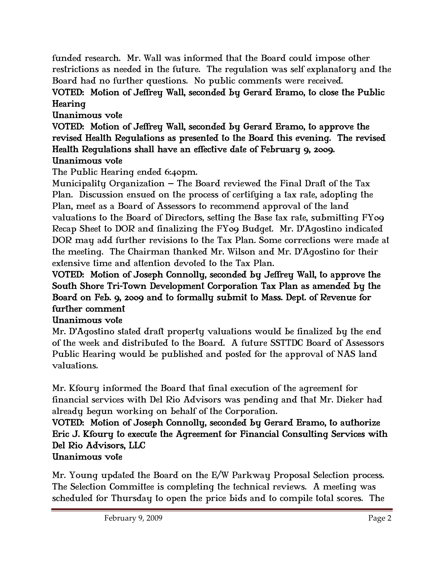funded research. Mr. Wall was informed that the Board could impose other restrictions as needed in the future. The regulation was self explanatory and the Board had no further questions. No public comments were received.

## VOTED: Motion of Jeffrey Wall, seconded by Gerard Eramo, to close the Public Hearing

## Unanimous vote

VOTED: Motion of Jeffrey Wall, seconded by Gerard Eramo, to approve the revised Health Regulations as presented to the Board this evening. The revised Health Regulations shall have an effective date of February 9, 2009. Unanimous vote

The Public Hearing ended 6:40pm.

Municipality Organization – The Board reviewed the Final Draft of the Tax Plan. Discussion ensued on the process of certifying a tax rate, adopting the Plan, meet as a Board of Assessors to recommend approval of the land valuations to the Board of Directors, setting the Base tax rate, submitting FY09 Recap Sheet to DOR and finalizing the FY09 Budget. Mr. D'Agostino indicated DOR may add further revisions to the Tax Plan. Some corrections were made at the meeting. The Chairman thanked Mr. Wilson and Mr. D'Agostino for their extensive time and attention devoted to the Tax Plan.

#### VOTED: Motion of Joseph Connolly, seconded by Jeffrey Wall, to approve the South Shore Tri-Town Development Corporation Tax Plan as amended by the Board on Feb. 9, 2009 and to formally submit to Mass. Dept. of Revenue for further comment

### Unanimous vote

Mr. D'Agostino stated draft property valuations would be finalized by the end of the week and distributed to the Board. A future SSTTDC Board of Assessors Public Hearing would be published and posted for the approval of NAS land valuations.

Mr. Kfoury informed the Board that final execution of the agreement for financial services with Del Rio Advisors was pending and that Mr. Dieker had already begun working on behalf of the Corporation.

#### VOTED: Motion of Joseph Connolly, seconded by Gerard Eramo, to authorize Eric J. Kfoury to execute the Agreement for Financial Consulting Services with Del Rio Advisors, LLC Unanimous vote

Mr. Young updated the Board on the E/W Parkway Proposal Selection process. The Selection Committee is completing the technical reviews. A meeting was scheduled for Thursday to open the price bids and to compile total scores. The